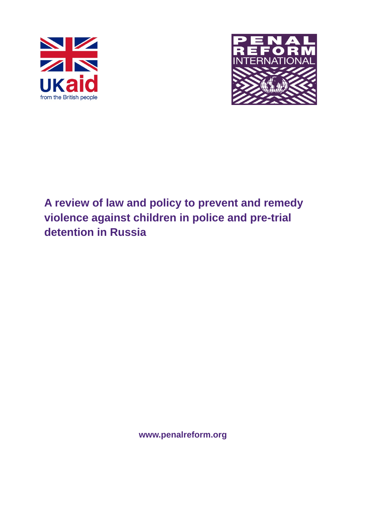



# **A review of law and policy to prevent and remedy violence against children in police and pre-trial detention in Russia**

**www.penalreform.org**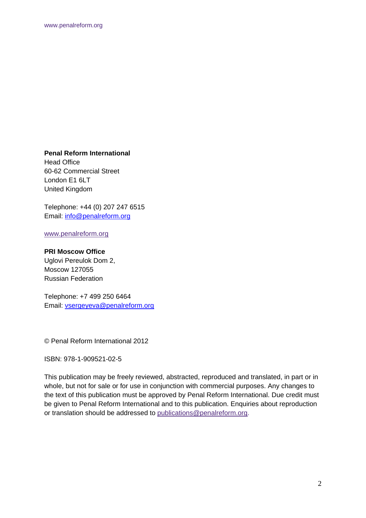**Penal Reform International** 

Head Office 60-62 Commercial Street London E1 6LT United Kingdom

Telephone: +44 (0) 207 247 6515 Email: info@penalreform.org

www.penalreform.org

#### **PRI Moscow Office**

Uglovi Pereulok Dom 2, Moscow 127055 Russian Federation

Telephone: +7 499 250 6464 Email: vsergeyeva@penalreform.org

© Penal Reform International 2012

ISBN: 978-1-909521-02-5

This publication may be freely reviewed, abstracted, reproduced and translated, in part or in whole, but not for sale or for use in conjunction with commercial purposes. Any changes to the text of this publication must be approved by Penal Reform International. Due credit must be given to Penal Reform International and to this publication. Enquiries about reproduction or translation should be addressed to publications@penalreform.org.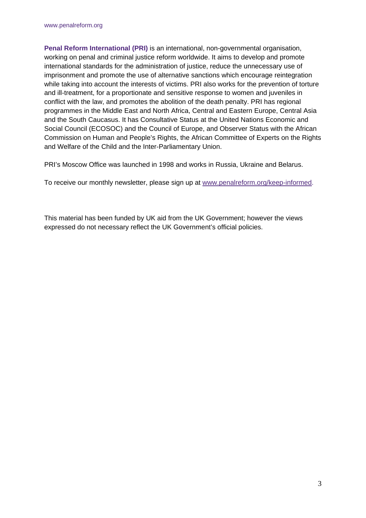**Penal Reform International (PRI)** is an international, non-governmental organisation, working on penal and criminal justice reform worldwide. It aims to develop and promote international standards for the administration of justice, reduce the unnecessary use of imprisonment and promote the use of alternative sanctions which encourage reintegration while taking into account the interests of victims. PRI also works for the prevention of torture and ill-treatment, for a proportionate and sensitive response to women and juveniles in conflict with the law, and promotes the abolition of the death penalty. PRI has regional programmes in the Middle East and North Africa, Central and Eastern Europe, Central Asia and the South Caucasus. It has Consultative Status at the United Nations Economic and Social Council (ECOSOC) and the Council of Europe, and Observer Status with the African Commission on Human and People's Rights, the African Committee of Experts on the Rights and Welfare of the Child and the Inter-Parliamentary Union.

PRI's Moscow Office was launched in 1998 and works in Russia, Ukraine and Belarus.

To receive our monthly newsletter, please sign up at www.penalreform.org/keep-informed.

This material has been funded by UK aid from the UK Government; however the views expressed do not necessary reflect the UK Government's official policies.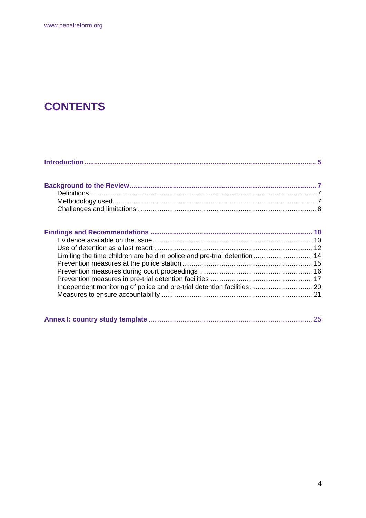# **CONTENTS**

Limiting the time children are held in police and pre-trial detention .............................. 14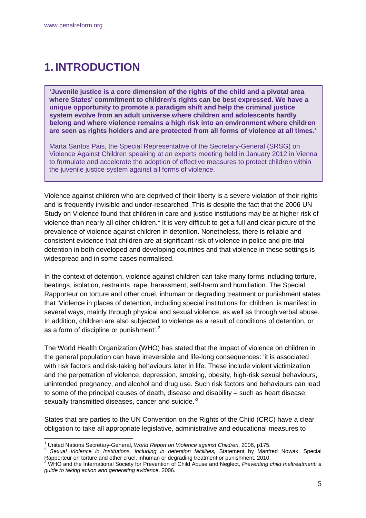1

# **1. INTRODUCTION**

**'Juvenile justice is a core dimension of the rights of the child and a pivotal area where States' commitment to children's rights can be best expressed. We have a unique opportunity to promote a paradigm shift and help the criminal justice system evolve from an adult universe where children and adolescents hardly belong and where violence remains a high risk into an environment where children are seen as rights holders and are protected from all forms of violence at all times.'** 

Marta Santos Pais, the Special Representative of the Secretary-General (SRSG) on Violence Against Children speaking at an experts meeting held in January 2012 in Vienna to formulate and accelerate the adoption of effective measures to protect children within the juvenile justice system against all forms of violence.

Violence against children who are deprived of their liberty is a severe violation of their rights and is frequently invisible and under-researched. This is despite the fact that the 2006 UN Study on Violence found that children in care and justice institutions may be at higher risk of violence than nearly all other children.<sup>1</sup> It is very difficult to get a full and clear picture of the prevalence of violence against children in detention. Nonetheless, there is reliable and consistent evidence that children are at significant risk of violence in police and pre-trial detention in both developed and developing countries and that violence in these settings is widespread and in some cases normalised.

In the context of detention, violence against children can take many forms including torture, beatings, isolation, restraints, rape, harassment, self-harm and humiliation. The Special Rapporteur on torture and other cruel, inhuman or degrading treatment or punishment states that 'Violence in places of detention, including special institutions for children, is manifest in several ways, mainly through physical and sexual violence, as well as through verbal abuse. In addition, children are also subjected to violence as a result of conditions of detention, or as a form of discipline or punishment'. $2$ 

The World Health Organization (WHO) has stated that the impact of violence on children in the general population can have irreversible and life-long consequences: 'it is associated with risk factors and risk-taking behaviours later in life. These include violent victimization and the perpetration of violence, depression, smoking, obesity, high-risk sexual behaviours, unintended pregnancy, and alcohol and drug use. Such risk factors and behaviours can lead to some of the principal causes of death, disease and disability – such as heart disease, sexually transmitted diseases, cancer and suicide.<sup>3</sup>

States that are parties to the UN Convention on the Rights of the Child (CRC) have a clear obligation to take all appropriate legislative, administrative and educational measures to

<sup>&</sup>lt;sup>1</sup> United Nations Secretary-General, World Report on Violence against Children, 2006, p175.

United Nations Secretary-General, *World Report on Violence against Children*, 2006, p175. 2 *Sexual Violence in Institutions, including in detention facilities,* Statement by Manfred Nowak, Special Rapporteur on torture and other cruel, inhuman or degrading treatment or punishment, 2010.<br><sup>3</sup> WHO and the International Sector of Fernando or punishment or punishment, 2010.

WHO and the International Society for Prevention of Child Abuse and Neglect, *Preventing child maltreatment: a guide to taking action and generating evidence,* 2006.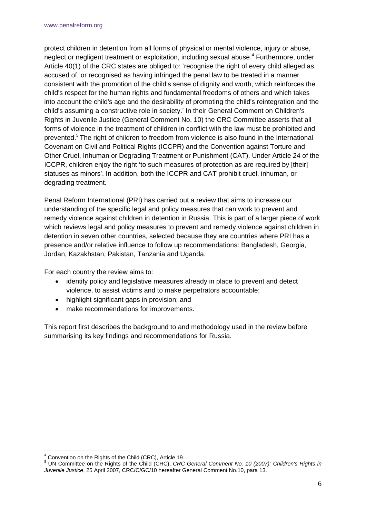protect children in detention from all forms of physical or mental violence, injury or abuse, neglect or negligent treatment or exploitation, including sexual abuse.<sup>4</sup> Furthermore, under Article 40(1) of the CRC states are obliged to: 'recognise the right of every child alleged as, accused of, or recognised as having infringed the penal law to be treated in a manner consistent with the promotion of the child's sense of dignity and worth, which reinforces the child's respect for the human rights and fundamental freedoms of others and which takes into account the child's age and the desirability of promoting the child's reintegration and the child's assuming a constructive role in society.' In their General Comment on Children's Rights in Juvenile Justice (General Comment No. 10) the CRC Committee asserts that all forms of violence in the treatment of children in conflict with the law must be prohibited and prevented.5 The right of children to freedom from violence is also found in the International Covenant on Civil and Political Rights (ICCPR) and the Convention against Torture and Other Cruel, Inhuman or Degrading Treatment or Punishment (CAT). Under Article 24 of the ICCPR, children enjoy the right 'to such measures of protection as are required by [their] statuses as minors'. In addition, both the ICCPR and CAT prohibit cruel, inhuman, or degrading treatment.

Penal Reform International (PRI) has carried out a review that aims to increase our understanding of the specific legal and policy measures that can work to prevent and remedy violence against children in detention in Russia. This is part of a larger piece of work which reviews legal and policy measures to prevent and remedy violence against children in detention in seven other countries, selected because they are countries where PRI has a presence and/or relative influence to follow up recommendations: Bangladesh, Georgia, Jordan, Kazakhstan, Pakistan, Tanzania and Uganda.

For each country the review aims to:

- identify policy and legislative measures already in place to prevent and detect violence, to assist victims and to make perpetrators accountable;
- highlight significant gaps in provision; and
- make recommendations for improvements.

This report first describes the background to and methodology used in the review before summarising its key findings and recommendations for Russia.

 $\overline{a}$ <sup>4</sup> Convention on the Rights of the Child (CRC), Article 19.

<sup>&</sup>lt;sup>5</sup> UN Committee on the Rights of the Child (CRC), *CRC General Comment No. 10 (2007): Children's Rights in Juvenile Justice*, 25 April 2007, CRC/C/GC/10 hereafter General Comment No.10, para 13.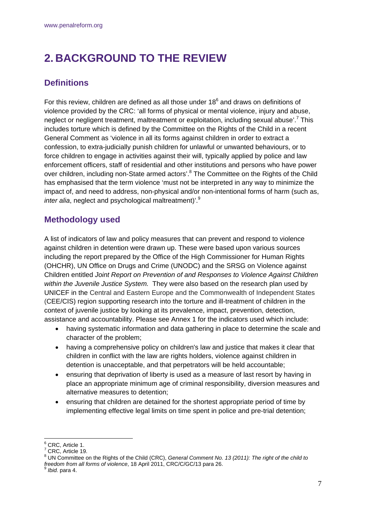# **2. BACKGROUND TO THE REVIEW**

# **Definitions**

For this review, children are defined as all those under  $18<sup>6</sup>$  and draws on definitions of violence provided by the CRC: 'all forms of physical or mental violence, injury and abuse, neglect or negligent treatment, maltreatment or exploitation, including sexual abuse'.<sup>7</sup> This includes torture which is defined by the Committee on the Rights of the Child in a recent General Comment as 'violence in all its forms against children in order to extract a confession, to extra-judicially punish children for unlawful or unwanted behaviours, or to force children to engage in activities against their will, typically applied by police and law enforcement officers, staff of residential and other institutions and persons who have power over children, including non-State armed actors'.<sup>8</sup> The Committee on the Rights of the Child has emphasised that the term violence 'must not be interpreted in any way to minimize the impact of, and need to address, non-physical and/or non-intentional forms of harm (such as, *inter alia*, neglect and psychological maltreatment)'.<sup>9</sup>

# **Methodology used**

A list of indicators of law and policy measures that can prevent and respond to violence against children in detention were drawn up. These were based upon various sources including the report prepared by the Office of the High Commissioner for Human Rights (OHCHR), UN Office on Drugs and Crime (UNODC) and the SRSG on Violence against Children entitled *Joint Report on Prevention of and Responses to Violence Against Children within the Juvenile Justice System.* They were also based on the research plan used by UNICEF in the Central and Eastern Europe and the Commonwealth of Independent States (CEE/CIS) region supporting research into the torture and ill-treatment of children in the context of juvenile justice by looking at its prevalence, impact, prevention, detection, assistance and accountability. Please see Annex 1 for the indicators used which include:

- having systematic information and data gathering in place to determine the scale and character of the problem;
- having a comprehensive policy on children's law and justice that makes it clear that children in conflict with the law are rights holders, violence against children in detention is unacceptable, and that perpetrators will be held accountable;
- ensuring that deprivation of liberty is used as a measure of last resort by having in place an appropriate minimum age of criminal responsibility, diversion measures and alternative measures to detention;
- ensuring that children are detained for the shortest appropriate period of time by implementing effective legal limits on time spent in police and pre-trial detention;

<sup>–&</sup>lt;br><sup>6</sup> CRC, Article 1.<br><sup>7</sup> CBC, Article 19

CRC, Article 19.

<sup>8</sup> UN Committee on the Rights of the Child (CRC), *General Comment No. 13 (2011): The right of the child to freedom from all forms of violence*, 18 April 2011, CRC/C/GC/13 para 26.<br><sup>9</sup> *Ibid.* para 4.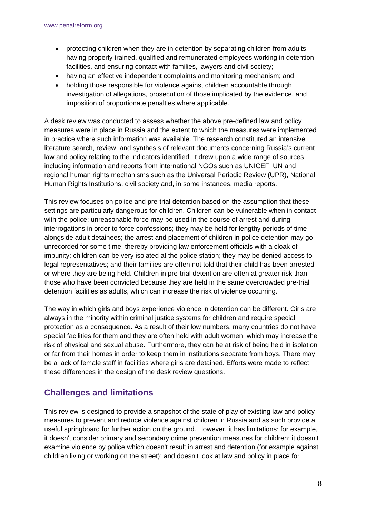- protecting children when they are in detention by separating children from adults, having properly trained, qualified and remunerated employees working in detention facilities, and ensuring contact with families, lawyers and civil society;
- having an effective independent complaints and monitoring mechanism; and
- holding those responsible for violence against children accountable through investigation of allegations, prosecution of those implicated by the evidence, and imposition of proportionate penalties where applicable.

A desk review was conducted to assess whether the above pre-defined law and policy measures were in place in Russia and the extent to which the measures were implemented in practice where such information was available. The research constituted an intensive literature search, review, and synthesis of relevant documents concerning Russia's current law and policy relating to the indicators identified. It drew upon a wide range of sources including information and reports from international NGOs such as UNICEF, UN and regional human rights mechanisms such as the Universal Periodic Review (UPR), National Human Rights Institutions, civil society and, in some instances, media reports.

This review focuses on police and pre-trial detention based on the assumption that these settings are particularly dangerous for children. Children can be vulnerable when in contact with the police: unreasonable force may be used in the course of arrest and during interrogations in order to force confessions; they may be held for lengthy periods of time alongside adult detainees; the arrest and placement of children in police detention may go unrecorded for some time, thereby providing law enforcement officials with a cloak of impunity; children can be very isolated at the police station; they may be denied access to legal representatives; and their families are often not told that their child has been arrested or where they are being held. Children in pre-trial detention are often at greater risk than those who have been convicted because they are held in the same overcrowded pre-trial detention facilities as adults, which can increase the risk of violence occurring.

The way in which girls and boys experience violence in detention can be different. Girls are always in the minority within criminal justice systems for children and require special protection as a consequence. As a result of their low numbers, many countries do not have special facilities for them and they are often held with adult women, which may increase the risk of physical and sexual abuse. Furthermore, they can be at risk of being held in isolation or far from their homes in order to keep them in institutions separate from boys. There may be a lack of female staff in facilities where girls are detained. Efforts were made to reflect these differences in the design of the desk review questions.

# **Challenges and limitations**

This review is designed to provide a snapshot of the state of play of existing law and policy measures to prevent and reduce violence against children in Russia and as such provide a useful springboard for further action on the ground. However, it has limitations: for example, it doesn't consider primary and secondary crime prevention measures for children; it doesn't examine violence by police which doesn't result in arrest and detention (for example against children living or working on the street); and doesn't look at law and policy in place for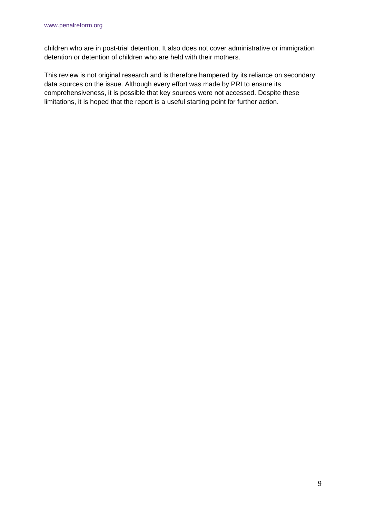children who are in post-trial detention. It also does not cover administrative or immigration detention or detention of children who are held with their mothers.

This review is not original research and is therefore hampered by its reliance on secondary data sources on the issue. Although every effort was made by PRI to ensure its comprehensiveness, it is possible that key sources were not accessed. Despite these limitations, it is hoped that the report is a useful starting point for further action.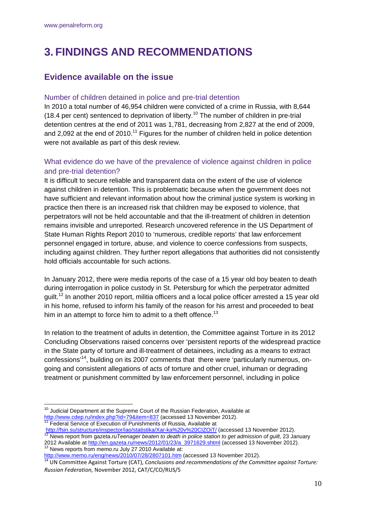# **3. FINDINGS AND RECOMMENDATIONS**

# **Evidence available on the issue**

## Number of children detained in police and pre-trial detention

In 2010 a total number of 46,954 children were convicted of a crime in Russia, with 8,644 (18.4 per cent) sentenced to deprivation of liberty.<sup>10</sup> The number of children in pre-trial detention centres at the end of 2011 was 1,781, decreasing from 2,827 at the end of 2009, and 2,092 at the end of 2010.<sup>11</sup> Figures for the number of children held in police detention were not available as part of this desk review.

## What evidence do we have of the prevalence of violence against children in police and pre-trial detention?

It is difficult to secure reliable and transparent data on the extent of the use of violence against children in detention. This is problematic because when the government does not have sufficient and relevant information about how the criminal justice system is working in practice then there is an increased risk that children may be exposed to violence, that perpetrators will not be held accountable and that the ill-treatment of children in detention remains invisible and unreported. Research uncovered reference in the US Department of State Human Rights Report 2010 to 'numerous, credible reports' that law enforcement personnel engaged in torture, abuse, and violence to coerce confessions from suspects, including against children. They further report allegations that authorities did not consistently hold officials accountable for such actions.

In January 2012, there were media reports of the case of a 15 year old boy beaten to death during interrogation in police custody in St. Petersburg for which the perpetrator admitted guilt.12 In another 2010 report, militia officers and a local police officer arrested a 15 year old in his home, refused to inform his family of the reason for his arrest and proceeded to beat him in an attempt to force him to admit to a theft offence.<sup>13</sup>

In relation to the treatment of adults in detention, the Committee against Torture in its 2012 Concluding Observations raised concerns over 'persistent reports of the widespread practice in the State party of torture and ill-treatment of detainees, including as a means to extract confessions'14, building on its 2007 comments that there were 'particularly numerous, ongoing and consistent allegations of acts of torture and other cruel, inhuman or degrading treatment or punishment committed by law enforcement personnel, including in police

<sup>1</sup>  $10$  Judicial Department at the Supreme Court of the Russian Federation, Available at http://www.cdep.ru/index.php?id=79&item=837 (accessed 13 November 2012).<br><sup>11</sup> Federal Service of Execution of Punishments of Russia, Available at

http://fsin.su/structure/inspector/iao/statistika/Xar-ka%20v%20CIZOiT/ (accessed 13 November 2012).<br><sup>12</sup> News report from gazeta.*ruTeenager beaten to death in police station to get admission of guilt*, 23 January 2012 Available at http://en.gazeta.ru/news/2012/01/23/a\_3971629.shtml (accessed 13 November 2012).<br><sup>13</sup> News reports from memo.ru July 27 2010 Available at:

http://www.memo.ru/eng/news/2010/07/28/2807101.htm (accessed 13 November 2012).<br><sup>14</sup> UN Committee Against Torture (CAT), Conclusions and recommendations of the Committee against Torture:

*Russian Federation,* November 2012, CAT/C/CO/RUS/5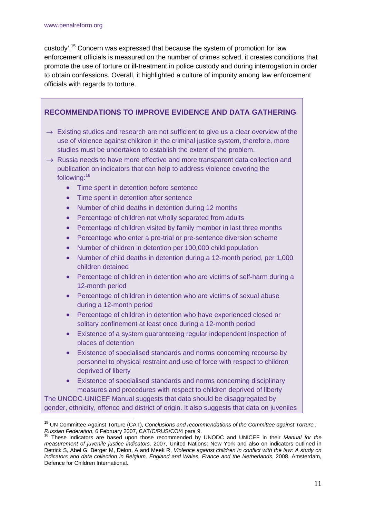custody'.15 Concern was expressed that because the system of promotion for law enforcement officials is measured on the number of crimes solved, it creates conditions that promote the use of torture or ill-treatment in police custody and during interrogation in order to obtain confessions. Overall, it highlighted a culture of impunity among law enforcement officials with regards to torture.

| <b>RECOMMENDATIONS TO IMPROVE EVIDENCE AND DATA GATHERING</b>                                                                                                                                                                                                                                                                                                                                                                                                     |  |
|-------------------------------------------------------------------------------------------------------------------------------------------------------------------------------------------------------------------------------------------------------------------------------------------------------------------------------------------------------------------------------------------------------------------------------------------------------------------|--|
| $\rightarrow$ Existing studies and research are not sufficient to give us a clear overview of the<br>use of violence against children in the criminal justice system, therefore, more<br>studies must be undertaken to establish the extent of the problem.<br>$\rightarrow$ Russia needs to have more effective and more transparent data collection and<br>publication on indicators that can help to address violence covering the<br>following: <sup>16</sup> |  |
| Time spent in detention before sentence<br>$\bullet$                                                                                                                                                                                                                                                                                                                                                                                                              |  |
| Time spent in detention after sentence<br>$\bullet$                                                                                                                                                                                                                                                                                                                                                                                                               |  |
| Number of child deaths in detention during 12 months<br>$\bullet$                                                                                                                                                                                                                                                                                                                                                                                                 |  |
| Percentage of children not wholly separated from adults<br>$\bullet$                                                                                                                                                                                                                                                                                                                                                                                              |  |
| Percentage of children visited by family member in last three months<br>$\bullet$                                                                                                                                                                                                                                                                                                                                                                                 |  |
| Percentage who enter a pre-trial or pre-sentence diversion scheme<br>$\bullet$                                                                                                                                                                                                                                                                                                                                                                                    |  |
| Number of children in detention per 100,000 child population<br>$\bullet$                                                                                                                                                                                                                                                                                                                                                                                         |  |
| Number of child deaths in detention during a 12-month period, per 1,000<br>$\bullet$<br>children detained                                                                                                                                                                                                                                                                                                                                                         |  |
| Percentage of children in detention who are victims of self-harm during a<br>$\bullet$<br>12-month period                                                                                                                                                                                                                                                                                                                                                         |  |
| Percentage of children in detention who are victims of sexual abuse<br>$\bullet$<br>during a 12-month period                                                                                                                                                                                                                                                                                                                                                      |  |
| Percentage of children in detention who have experienced closed or<br>$\bullet$<br>solitary confinement at least once during a 12-month period                                                                                                                                                                                                                                                                                                                    |  |
| Existence of a system guaranteeing regular independent inspection of<br>$\bullet$<br>places of detention                                                                                                                                                                                                                                                                                                                                                          |  |
| Existence of specialised standards and norms concerning recourse by<br>$\bullet$<br>personnel to physical restraint and use of force with respect to children<br>deprived of liberty                                                                                                                                                                                                                                                                              |  |
| Existence of specialised standards and norms concerning disciplinary<br>$\bullet$<br>measures and procedures with respect to children deprived of liberty                                                                                                                                                                                                                                                                                                         |  |
| The UNODC-UNICEF Manual suggests that data should be disaggregated by                                                                                                                                                                                                                                                                                                                                                                                             |  |
| gender, ethnicity, offence and district of origin. It also suggests that data on juveniles                                                                                                                                                                                                                                                                                                                                                                        |  |
|                                                                                                                                                                                                                                                                                                                                                                                                                                                                   |  |

<sup>&</sup>lt;sup>15</sup> UN Committee Against Torture (CAT), *Conclusions and recommendations of the Committee against Torture : Russian Federation*, 6 February 2007, CAT/C/RUS/CO/4 para 9. 16 These indicators are based upon those recommended by UNODC and UNICEF in their *Manual for the* 

*measurement of juvenile justice indicators,* 2007, United Nations: New York and also on indicators outlined in Detrick S, Abel G, Berger M, Delon, A and Meek R, *Violence against children in conflict with the law: A study on indicators and data collection in Belgium, England and Wales, France and the Netherlands*, 2008, Amsterdam, Defence for Children International.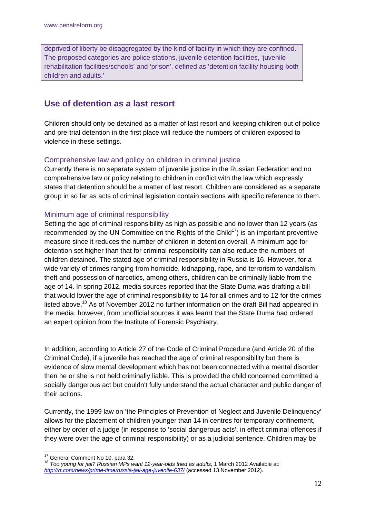deprived of liberty be disaggregated by the kind of facility in which they are confined. The proposed categories are police stations, juvenile detention facilities, 'juvenile rehabilitation facilities/schools' and 'prison', defined as 'detention facility housing both children and adults.'

# **Use of detention as a last resort**

Children should only be detained as a matter of last resort and keeping children out of police and pre-trial detention in the first place will reduce the numbers of children exposed to violence in these settings.

## Comprehensive law and policy on children in criminal justice

Currently there is no separate system of juvenile justice in the Russian Federation and no comprehensive law or policy relating to children in conflict with the law which expressly states that detention should be a matter of last resort. Children are considered as a separate group in so far as acts of criminal legislation contain sections with specific reference to them.

## Minimum age of criminal responsibility

Setting the age of criminal responsibility as high as possible and no lower than 12 years (as recommended by the UN Committee on the Rights of the Child<sup>17</sup>) is an important preventive measure since it reduces the number of children in detention overall. A minimum age for detention set higher than that for criminal responsibility can also reduce the numbers of children detained. The stated age of criminal responsibility in Russia is 16. However, for a wide variety of crimes ranging from homicide, kidnapping, rape, and terrorism to vandalism, theft and possession of narcotics, among others, children can be criminally liable from the age of 14. In spring 2012, media sources reported that the State Duma was drafting a bill that would lower the age of criminal responsibility to 14 for all crimes and to 12 for the crimes listed above.<sup>18</sup> As of November 2012 no further information on the draft Bill had appeared in the media, however, from unofficial sources it was learnt that the State Duma had ordered an expert opinion from the Institute of Forensic Psychiatry.

In addition, according to Article 27 of the Code of Criminal Procedure (and Article 20 of the Criminal Code), if a juvenile has reached the age of criminal responsibility but there is evidence of slow mental development which has not been connected with a mental disorder then he or she is not held criminally liable. This is provided the child concerned committed a socially dangerous act but couldn't fully understand the actual character and public danger of their actions.

Currently, the 1999 law on 'the Principles of Prevention of Neglect and Juvenile Delinquency' allows for the placement of children younger than 14 in centres for temporary confinement, either by order of a judge (in response to 'social dangerous acts', in effect criminal offences if they were over the age of criminal responsibility) or as a judicial sentence. Children may be

<sup>1</sup> 

<sup>&</sup>lt;sup>17</sup> General Comment No 10, para 32.<br><sup>18</sup> Too young for jail? Russian MPs want 12-year-olds tried as adults, 1 March 2012 Available at: *http://rt.com/news/prime-time/russia-jail-age-juvenile-637/* (accessed 13 November 2012).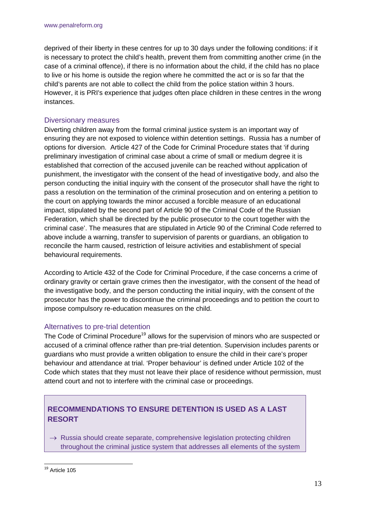deprived of their liberty in these centres for up to 30 days under the following conditions: if it is necessary to protect the child's health, prevent them from committing another crime (in the case of a criminal offence), if there is no information about the child, if the child has no place to live or his home is outside the region where he committed the act or is so far that the child's parents are not able to collect the child from the police station within 3 hours. However, it is PRI's experience that judges often place children in these centres in the wrong instances.

#### Diversionary measures

Diverting children away from the formal criminal justice system is an important way of ensuring they are not exposed to violence within detention settings. Russia has a number of options for diversion. Article 427 of the Code for Criminal Procedure states that 'if during preliminary investigation of criminal case about a crime of small or medium degree it is established that correction of the accused juvenile can be reached without application of punishment, the investigator with the consent of the head of investigative body, and also the person conducting the initial inquiry with the consent of the prosecutor shall have the right to pass a resolution on the termination of the criminal prosecution and on entering a petition to the court on applying towards the minor accused a forcible measure of an educational impact, stipulated by the second part of Article 90 of the Criminal Code of the Russian Federation, which shall be directed by the public prosecutor to the court together with the criminal case'. The measures that are stipulated in Article 90 of the Criminal Code referred to above include a warning, transfer to supervision of parents or guardians, an obligation to reconcile the harm caused, restriction of leisure activities and establishment of special behavioural requirements.

According to Article 432 of the Code for Criminal Procedure, if the case concerns a crime of ordinary gravity or certain grave crimes then the investigator, with the consent of the head of the investigative body, and the person conducting the initial inquiry, with the consent of the prosecutor has the power to discontinue the criminal proceedings and to petition the court to impose compulsory re-education measures on the child.

### Alternatives to pre-trial detention

The Code of Criminal Procedure<sup>19</sup> allows for the supervision of minors who are suspected or accused of a criminal offence rather than pre-trial detention. Supervision includes parents or guardians who must provide a written obligation to ensure the child in their care's proper behaviour and attendance at trial. 'Proper behaviour' is defined under Article 102 of the Code which states that they must not leave their place of residence without permission, must attend court and not to interfere with the criminal case or proceedings.

# **RECOMMENDATIONS TO ENSURE DETENTION IS USED AS A LAST RESORT**

 $\rightarrow$  Russia should create separate, comprehensive legislation protecting children throughout the criminal justice system that addresses all elements of the system

<sup>1</sup> <sup>19</sup> Article 105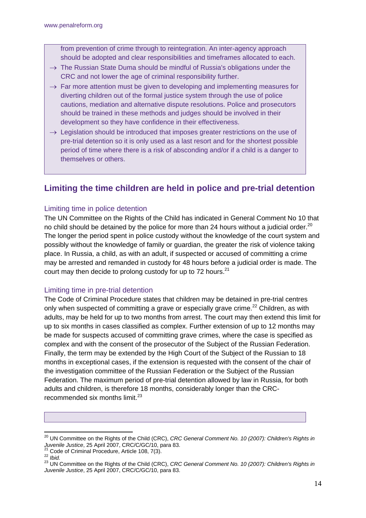from prevention of crime through to reintegration. An inter-agency approach should be adopted and clear responsibilities and timeframes allocated to each.

- $\rightarrow$  The Russian State Duma should be mindful of Russia's obligations under the CRC and not lower the age of criminal responsibility further.
- $\rightarrow$  Far more attention must be given to developing and implementing measures for diverting children out of the formal justice system through the use of police cautions, mediation and alternative dispute resolutions. Police and prosecutors should be trained in these methods and judges should be involved in their development so they have confidence in their effectiveness.
- $\rightarrow$  Legislation should be introduced that imposes greater restrictions on the use of pre-trial detention so it is only used as a last resort and for the shortest possible period of time where there is a risk of absconding and/or if a child is a danger to themselves or others.

# **Limiting the time children are held in police and pre-trial detention**

### Limiting time in police detention

The UN Committee on the Rights of the Child has indicated in General Comment No 10 that no child should be detained by the police for more than 24 hours without a judicial order.<sup>20</sup> The longer the period spent in police custody without the knowledge of the court system and possibly without the knowledge of family or guardian, the greater the risk of violence taking place. In Russia, a child, as with an adult, if suspected or accused of committing a crime may be arrested and remanded in custody for 48 hours before a judicial order is made. The court may then decide to prolong custody for up to 72 hours. $21$ 

### Limiting time in pre-trial detention

The Code of Criminal Procedure states that children may be detained in pre-trial centres only when suspected of committing a grave or especially grave crime.<sup>22</sup> Children, as with adults, may be held for up to two months from arrest. The court may then extend this limit for up to six months in cases classified as complex. Further extension of up to 12 months may be made for suspects accused of committing grave crimes, where the case is specified as complex and with the consent of the prosecutor of the Subject of the Russian Federation. Finally, the term may be extended by the High Court of the Subject of the Russian to 18 months in exceptional cases, if the extension is requested with the consent of the chair of the investigation committee of the Russian Federation or the Subject of the Russian Federation. The maximum period of pre-trial detention allowed by law in Russia, for both adults and children, is therefore 18 months, considerably longer than the CRCrecommended six months limit. $^{23}$ 

1

<sup>&</sup>lt;sup>20</sup> UN Committee on the Rights of the Child (CRC), *CRC General Comment No. 10 (2007): Children's Rights in* Juvenile Justice, 25 April 2007, CRC/C/GC/10, para 83.<br>
<sup>21</sup> Code of Criminal Procedure, Article 108, 7(3).<br>
<sup>22</sup> Ibid.<br>
<sup>23</sup> UN Committee on the Rights of the Child (CRC), CRC General Comment No. 10 (2007): Children's Rig

*Juvenile Justice*, 25 April 2007, CRC/C/GC/10, para 83.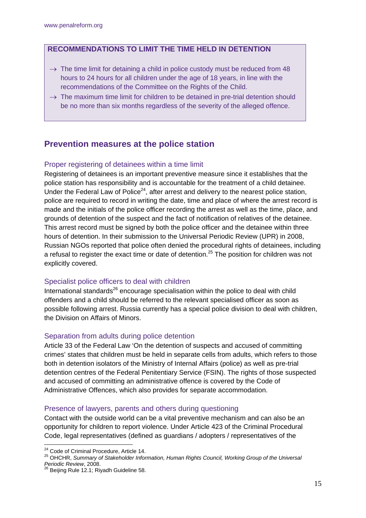## **RECOMMENDATIONS TO LIMIT THE TIME HELD IN DETENTION**

- $\rightarrow$  The time limit for detaining a child in police custody must be reduced from 48 hours to 24 hours for all children under the age of 18 years, in line with the recommendations of the Committee on the Rights of the Child.
- $\rightarrow$  The maximum time limit for children to be detained in pre-trial detention should be no more than six months regardless of the severity of the alleged offence.

# **Prevention measures at the police station**

## Proper registering of detainees within a time limit

Registering of detainees is an important preventive measure since it establishes that the police station has responsibility and is accountable for the treatment of a child detainee. Under the Federal Law of Police<sup>24</sup>, after arrest and delivery to the nearest police station, police are required to record in writing the date, time and place of where the arrest record is made and the initials of the police officer recording the arrest as well as the time, place, and grounds of detention of the suspect and the fact of notification of relatives of the detainee. This arrest record must be signed by both the police officer and the detainee within three hours of detention. In their submission to the Universal Periodic Review (UPR) in 2008, Russian NGOs reported that police often denied the procedural rights of detainees, including a refusal to register the exact time or date of detention.<sup>25</sup> The position for children was not explicitly covered.

### Specialist police officers to deal with children

International standards $^{26}$  encourage specialisation within the police to deal with child offenders and a child should be referred to the relevant specialised officer as soon as possible following arrest. Russia currently has a special police division to deal with children, the Division on Affairs of Minors.

### Separation from adults during police detention

Article 33 of the Federal Law 'On the detention of suspects and accused of committing crimes' states that children must be held in separate cells from adults, which refers to those both in detention isolators of the Ministry of Internal Affairs (police) as well as pre-trial detention centres of the Federal Penitentiary Service (FSIN). The rights of those suspected and accused of committing an administrative offence is covered by the Code of Administrative Offences, which also provides for separate accommodation.

#### Presence of lawyers, parents and others during questioning

Contact with the outside world can be a vital preventive mechanism and can also be an opportunity for children to report violence. Under Article 423 of the Criminal Procedural Code, legal representatives (defined as guardians / adopters / representatives of the

<u>.</u>

<sup>&</sup>lt;sup>24</sup> Code of Criminal Procedure, Article 14.<br><sup>25</sup> OHCHR, *Summary of Stakeholder Information, Human Rights Council, Working Group of the Universal Periodic Review*, 2008.<br><sup>26</sup> Beijing Rule 12.1; Riyadh Guideline 58.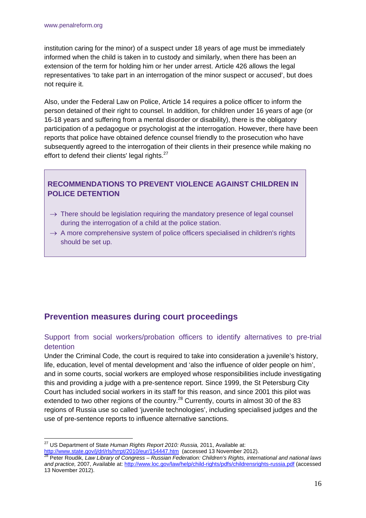institution caring for the minor) of a suspect under 18 years of age must be immediately informed when the child is taken in to custody and similarly, when there has been an extension of the term for holding him or her under arrest. Article 426 allows the legal representatives 'to take part in an interrogation of the minor suspect or accused', but does not require it.

Also, under the Federal Law on Police, Article 14 requires a police officer to inform the person detained of their right to counsel. In addition, for children under 16 years of age (or 16-18 years and suffering from a mental disorder or disability), there is the obligatory participation of a pedagogue or psychologist at the interrogation. However, there have been reports that police have obtained defence counsel friendly to the prosecution who have subsequently agreed to the interrogation of their clients in their presence while making no effort to defend their clients' legal rights.<sup>27</sup>

# **RECOMMENDATIONS TO PREVENT VIOLENCE AGAINST CHILDREN IN POLICE DETENTION**

- $\rightarrow$  There should be legislation requiring the mandatory presence of legal counsel during the interrogation of a child at the police station.
- $\rightarrow$  A more comprehensive system of police officers specialised in children's rights should be set up.

# **Prevention measures during court proceedings**

## Support from social workers/probation officers to identify alternatives to pre-trial detention

Under the Criminal Code, the court is required to take into consideration a juvenile's history, life, education, level of mental development and 'also the influence of older people on him', and in some courts, social workers are employed whose responsibilities include investigating this and providing a judge with a pre-sentence report. Since 1999, the St Petersburg City Court has included social workers in its staff for this reason, and since 2001 this pilot was extended to two other regions of the country.<sup>28</sup> Currently, courts in almost 30 of the 83 regions of Russia use so called 'juvenile technologies', including specialised judges and the use of pre-sentence reports to influence alternative sanctions.

1

<sup>27</sup> US Department of State *Human Rights Report 2010: Russia,* 2011, Available at:

http://www.state.gov/j/drl/rls/hrrpt/2010/eur/154447.htm(accessed 13 November 2012). 28 Peter Roudik, *Law Library of Congress – Russian Federation: Children's Rights, international and national laws and practice,* 2007, Available at: http://www.loc.gov/law/help/child-rights/pdfs/childrensrights-russia.pdf (accessed 13 November 2012).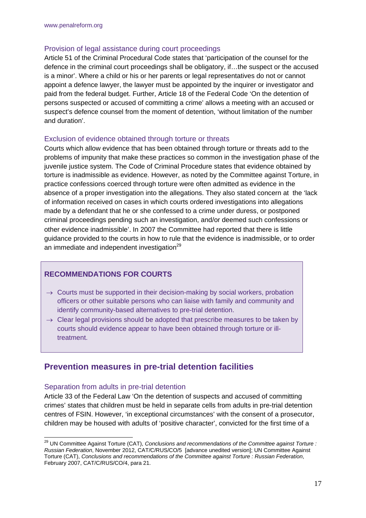#### Provision of legal assistance during court proceedings

Article 51 of the Criminal Procedural Code states that 'participation of the counsel for the defence in the criminal court proceedings shall be obligatory, if…the suspect or the accused is a minor'. Where a child or his or her parents or legal representatives do not or cannot appoint a defence lawyer, the lawyer must be appointed by the inquirer or investigator and paid from the federal budget. Further, Article 18 of the Federal Code 'On the detention of persons suspected or accused of committing a crime' allows a meeting with an accused or suspect's defence counsel from the moment of detention, 'without limitation of the number and duration'.

#### Exclusion of evidence obtained through torture or threats

Courts which allow evidence that has been obtained through torture or threats add to the problems of impunity that make these practices so common in the investigation phase of the juvenile justice system. The Code of Criminal Procedure states that evidence obtained by torture is inadmissible as evidence. However, as noted by the Committee against Torture, in practice confessions coerced through torture were often admitted as evidence in the absence of a proper investigation into the allegations. They also stated concern at the 'lack of information received on cases in which courts ordered investigations into allegations made by a defendant that he or she confessed to a crime under duress, or postponed criminal proceedings pending such an investigation, and/or deemed such confessions or other evidence inadmissible'. In 2007 the Committee had reported that there is little guidance provided to the courts in how to rule that the evidence is inadmissible, or to order an immediate and independent investigation<sup>29</sup>

### **RECOMMENDATIONS FOR COURTS**

- $\rightarrow$  Courts must be supported in their decision-making by social workers, probation officers or other suitable persons who can liaise with family and community and identify community-based alternatives to pre-trial detention.
- $\rightarrow$  Clear legal provisions should be adopted that prescribe measures to be taken by courts should evidence appear to have been obtained through torture or illtreatment.

## **Prevention measures in pre-trial detention facilities**

#### Separation from adults in pre-trial detention

1

Article 33 of the Federal Law 'On the detention of suspects and accused of committing crimes' states that children must be held in separate cells from adults in pre-trial detention centres of FSIN. However, 'in exceptional circumstances' with the consent of a prosecutor, children may be housed with adults of 'positive character', convicted for the first time of a

<sup>&</sup>lt;sup>29</sup> UN Committee Against Torture (CAT), *Conclusions and recommendations of the Committee against Torture : Russian Federation*, November 2012, CAT/C/RUS/CO/5 [advance unedited version]; UN Committee Against Torture (CAT), *Conclusions and recommendations of the Committee against Torture : Russian Federation*, February 2007, CAT/C/RUS/CO/4, para 21.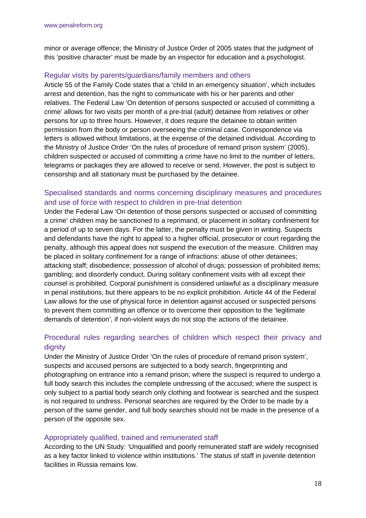minor or average offence; the Ministry of Justice Order of 2005 states that the judgment of this 'positive character' must be made by an inspector for education and a psychologist.

### Regular visits by parents/guardians/family members and others

Article 55 of the Family Code states that a 'child in an emergency situation', which includes arrest and detention, has the right to communicate with his or her parents and other relatives. The Federal Law 'On detention of persons suspected or accused of committing a crime' allows for two visits per month of a pre-trial (adult) detainee from relatives or other persons for up to three hours. However, it does require the detainee to obtain written permission from the body or person overseeing the criminal case. Correspondence via letters is allowed without limitations, at the expense of the detained individual. According to the Ministry of Justice Order 'On the rules of procedure of remand prison system' (2005), children suspected or accused of committing a crime have no limit to the number of letters, telegrams or packages they are allowed to receive or send. However, the post is subject to censorship and all stationary must be purchased by the detainee.

## Specialised standards and norms concerning disciplinary measures and procedures and use of force with respect to children in pre-trial detention

Under the Federal Law 'On detention of those persons suspected or accused of committing a crime' children may be sanctioned to a reprimand, or placement in solitary confinement for a period of up to seven days. For the latter, the penalty must be given in writing. Suspects and defendants have the right to appeal to a higher official, prosecutor or court regarding the penalty, although this appeal does not suspend the execution of the measure. Children may be placed in solitary confinement for a range of infractions: abuse of other detainees; attacking staff; disobedience; possession of alcohol of drugs; possession of prohibited items; gambling; and disorderly conduct. During solitary confinement visits with all except their counsel is prohibited. Corporal punishment is considered unlawful as a disciplinary measure in penal institutions, but there appears to be no explicit prohibition. Article 44 of the Federal Law allows for the use of physical force in detention against accused or suspected persons to prevent them committing an offence or to overcome their opposition to the 'legitimate demands of detention', if non-violent ways do not stop the actions of the detainee.

## Procedural rules regarding searches of children which respect their privacy and dignity

Under the Ministry of Justice Order 'On the rules of procedure of remand prison system', suspects and accused persons are subjected to a body search, fingerprinting and photographing on entrance into a remand prison; where the suspect is required to undergo a full body search this includes the complete undressing of the accused; where the suspect is only subject to a partial body search only clothing and footwear is searched and the suspect is not required to undress. Personal searches are required by the Order to be made by a person of the same gender, and full body searches should not be made in the presence of a person of the opposite sex.

### Appropriately qualified, trained and remunerated staff

According to the UN Study: 'Unqualified and poorly remunerated staff are widely recognised as a key factor linked to violence within institutions.' The status of staff in juvenile detention facilities in Russia remains low.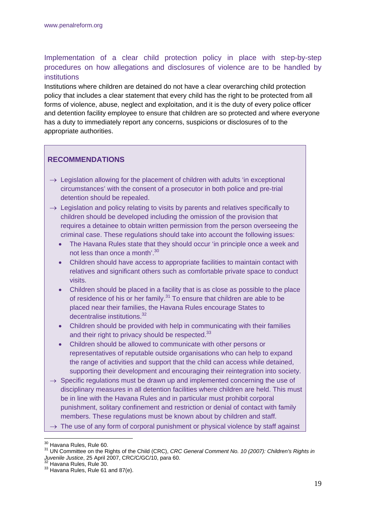Implementation of a clear child protection policy in place with step-by-step procedures on how allegations and disclosures of violence are to be handled by institutions

Institutions where children are detained do not have a clear overarching child protection policy that includes a clear statement that every child has the right to be protected from all forms of violence, abuse, neglect and exploitation, and it is the duty of every police officer and detention facility employee to ensure that children are so protected and where everyone has a duty to immediately report any concerns, suspicions or disclosures of to the appropriate authorities.

## **RECOMMENDATIONS**

- $\rightarrow$  Legislation allowing for the placement of children with adults 'in exceptional circumstances' with the consent of a prosecutor in both police and pre-trial detention should be repealed.
- $\rightarrow$  Legislation and policy relating to visits by parents and relatives specifically to children should be developed including the omission of the provision that requires a detainee to obtain written permission from the person overseeing the criminal case. These regulations should take into account the following issues:
	- The Havana Rules state that they should occur 'in principle once a week and not less than once a month'.<sup>30</sup>
	- Children should have access to appropriate facilities to maintain contact with relatives and significant others such as comfortable private space to conduct visits.
	- Children should be placed in a facility that is as close as possible to the place of residence of his or her family.<sup>31</sup> To ensure that children are able to be placed near their families, the Havana Rules encourage States to decentralise institutions.<sup>32</sup>
	- Children should be provided with help in communicating with their families and their right to privacy should be respected.<sup>33</sup>
	- Children should be allowed to communicate with other persons or representatives of reputable outside organisations who can help to expand the range of activities and support that the child can access while detained, supporting their development and encouraging their reintegration into society.
- $\rightarrow$  Specific regulations must be drawn up and implemented concerning the use of disciplinary measures in all detention facilities where children are held. This must be in line with the Havana Rules and in particular must prohibit corporal punishment, solitary confinement and restriction or denial of contact with family members. These regulations must be known about by children and staff.
- $\rightarrow$  The use of any form of corporal punishment or physical violence by staff against

<sup>&</sup>lt;sup>30</sup> Havana Rules, Rule 60.

<sup>&</sup>lt;sup>31</sup> UN Committee on the Rights of the Child (CRC), *CRC General Comment No. 10 (2007): Children's Rights in Juvenile Justice*, 25 April 2007, CRC/C/GC/10, para 60.<br><sup>32</sup> Havana Rules, Rule 30.<br><sup>33</sup> Havana Rules, Rule 61 and 87(e).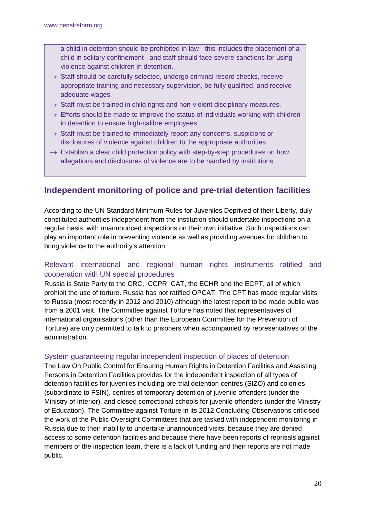a child in detention should be prohibited in law - this includes the placement of a child in solitary confinement - and staff should face severe sanctions for using violence against children in detention.

- $\rightarrow$  Staff should be carefully selected, undergo criminal record checks, receive appropriate training and necessary supervision, be fully qualified, and receive adequate wages.
- $\rightarrow$  Staff must be trained in child rights and non-violent disciplinary measures.
- $\rightarrow$  Efforts should be made to improve the status of individuals working with children in detention to ensure high-calibre employees.
- $\rightarrow$  Staff must be trained to immediately report any concerns, suspicions or disclosures of violence against children to the appropriate authorities.
- $\rightarrow$  Establish a clear child protection policy with step-by-step procedures on how allegations and disclosures of violence are to be handled by institutions.

# **Independent monitoring of police and pre-trial detention facilities**

According to the UN Standard Minimum Rules for Juveniles Deprived of their Liberty, duly constituted authorities independent from the institution should undertake inspections on a regular basis, with unannounced inspections on their own initiative. Such inspections can play an important role in preventing violence as well as providing avenues for children to bring violence to the authority's attention.

## Relevant international and regional human rights instruments ratified and cooperation with UN special procedures

Russia is State Party to the CRC, ICCPR, CAT, the ECHR and the ECPT, all of which prohibit the use of torture. Russia has not ratified OPCAT. The CPT has made regular visits to Russia (most recently in 2012 and 2010) although the latest report to be made public was from a 2001 visit. The Committee against Torture has noted that representatives of international organisations (other than the European Committee for the Prevention of Torture) are only permitted to talk to prisoners when accompanied by representatives of the administration.

#### System guaranteeing regular independent inspection of places of detention

The Law On Public Control for Ensuring Human Rights in Detention Facilities and Assisting Persons in Detention Facilities provides for the independent inspection of all types of detention facilities for juveniles including pre-trial detention centres (SIZO) and colonies (subordinate to FSIN), centres of temporary detention of juvenile offenders (under the Ministry of Interior), and closed correctional schools for juvenile offenders (under the Ministry of Education). The Committee against Torture in its 2012 Concluding Observations criticised the work of the Public Oversight Committees that are tasked with independent monitoring in Russia due to their inability to undertake unannounced visits, because they are denied access to some detention facilities and because there have been reports of reprisals against members of the inspection team, there is a lack of funding and their reports are not made public.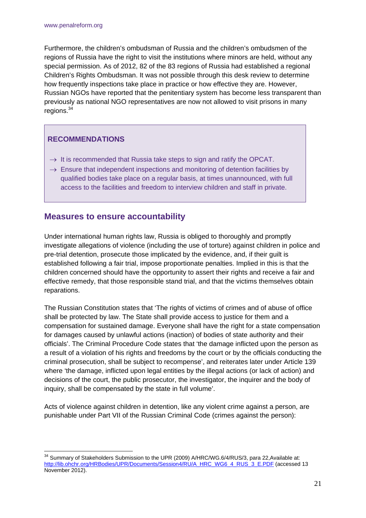Furthermore, the children's ombudsman of Russia and the children's ombudsmen of the regions of Russia have the right to visit the institutions where minors are held, without any special permission. As of 2012, 82 of the 83 regions of Russia had established a regional Children's Rights Ombudsman. It was not possible through this desk review to determine how frequently inspections take place in practice or how effective they are. However, Russian NGOs have reported that the penitentiary system has become less transparent than previously as national NGO representatives are now not allowed to visit prisons in many regions.34

## **RECOMMENDATIONS**

- $\rightarrow$  It is recommended that Russia take steps to sign and ratify the OPCAT.
- $\rightarrow$  Ensure that independent inspections and monitoring of detention facilities by qualified bodies take place on a regular basis, at times unannounced, with full access to the facilities and freedom to interview children and staff in private.

## **Measures to ensure accountability**

Under international human rights law, Russia is obliged to thoroughly and promptly investigate allegations of violence (including the use of torture) against children in police and pre-trial detention, prosecute those implicated by the evidence, and, if their guilt is established following a fair trial, impose proportionate penalties. Implied in this is that the children concerned should have the opportunity to assert their rights and receive a fair and effective remedy, that those responsible stand trial, and that the victims themselves obtain reparations.

The Russian Constitution states that 'The rights of victims of crimes and of abuse of office shall be protected by law. The State shall provide access to justice for them and a compensation for sustained damage. Everyone shall have the right for a state compensation for damages caused by unlawful actions (inaction) of bodies of state authority and their officials'. The Criminal Procedure Code states that 'the damage inflicted upon the person as a result of a violation of his rights and freedoms by the court or by the officials conducting the criminal prosecution, shall be subject to recompense', and reiterates later under Article 139 where 'the damage, inflicted upon legal entities by the illegal actions (or lack of action) and decisions of the court, the public prosecutor, the investigator, the inquirer and the body of inquiry, shall be compensated by the state in full volume'.

Acts of violence against children in detention, like any violent crime against a person, are punishable under Part VII of the Russian Criminal Code (crimes against the person):

<sup>1</sup>  $34$  Summary of Stakeholders Submission to the UPR (2009) A/HRC/WG.6/4/RUS/3, para 22,Available at: http://lib.ohchr.org/HRBodies/UPR/Documents/Session4/RU/A\_HRC\_WG6\_4\_RUS\_3\_E.PDF (accessed 13 November 2012).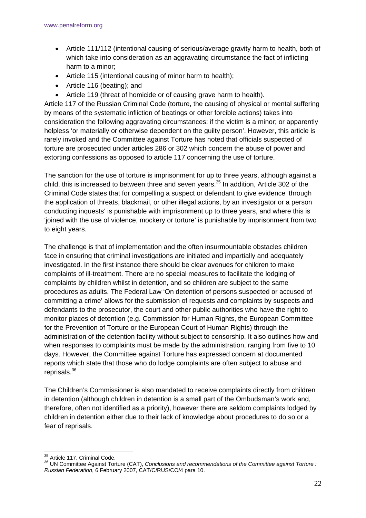- Article 111/112 (intentional causing of serious/average gravity harm to health, both of which take into consideration as an aggravating circumstance the fact of inflicting harm to a minor;
- Article 115 (intentional causing of minor harm to health);
- Article 116 (beating); and
- Article 119 (threat of homicide or of causing grave harm to health).

Article 117 of the Russian Criminal Code (torture, the causing of physical or mental suffering by means of the systematic infliction of beatings or other forcible actions) takes into consideration the following aggravating circumstances: if the victim is a minor; or apparently helpless 'or materially or otherwise dependent on the guilty person'. However, this article is rarely invoked and the Committee against Torture has noted that officials suspected of torture are prosecuted under articles 286 or 302 which concern the abuse of power and extorting confessions as opposed to article 117 concerning the use of torture.

The sanction for the use of torture is imprisonment for up to three years, although against a child, this is increased to between three and seven years. $35$  In addition, Article 302 of the Criminal Code states that for compelling a suspect or defendant to give evidence 'through the application of threats, blackmail, or other illegal actions, by an investigator or a person conducting inquests' is punishable with imprisonment up to three years, and where this is 'joined with the use of violence, mockery or torture' is punishable by imprisonment from two to eight years.

The challenge is that of implementation and the often insurmountable obstacles children face in ensuring that criminal investigations are initiated and impartially and adequately investigated. In the first instance there should be clear avenues for children to make complaints of ill-treatment. There are no special measures to facilitate the lodging of complaints by children whilst in detention, and so children are subject to the same procedures as adults. The Federal Law 'On detention of persons suspected or accused of committing a crime' allows for the submission of requests and complaints by suspects and defendants to the prosecutor, the court and other public authorities who have the right to monitor places of detention (e.g. Commission for Human Rights, the European Committee for the Prevention of Torture or the European Court of Human Rights) through the administration of the detention facility without subject to censorship. It also outlines how and when responses to complaints must be made by the administration, ranging from five to 10 days. However, the Committee against Torture has expressed concern at documented reports which state that those who do lodge complaints are often subject to abuse and reprisals.36

The Children's Commissioner is also mandated to receive complaints directly from children in detention (although children in detention is a small part of the Ombudsman's work and, therefore, often not identified as a priority), however there are seldom complaints lodged by children in detention either due to their lack of knowledge about procedures to do so or a fear of reprisals.

<sup>&</sup>lt;sup>35</sup> Article 117, Criminal Code.

<sup>&</sup>lt;sup>36</sup> UN Committee Against Torture (CAT), *Conclusions and recommendations of the Committee against Torture : Russian Federation*, 6 February 2007, CAT/C/RUS/CO/4 para 10.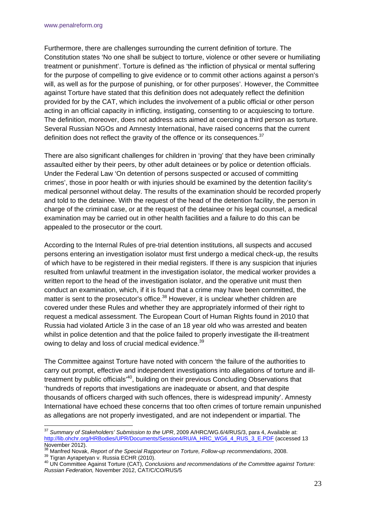Furthermore, there are challenges surrounding the current definition of torture. The Constitution states 'No one shall be subject to torture, violence or other severe or humiliating treatment or punishment'. Torture is defined as 'the infliction of physical or mental suffering for the purpose of compelling to give evidence or to commit other actions against a person's will, as well as for the purpose of punishing, or for other purposes'. However, the Committee against Torture have stated that this definition does not adequately reflect the definition provided for by the CAT, which includes the involvement of a public official or other person acting in an official capacity in inflicting, instigating, consenting to or acquiescing to torture. The definition, moreover, does not address acts aimed at coercing a third person as torture. Several Russian NGOs and Amnesty International, have raised concerns that the current definition does not reflect the gravity of the offence or its consequences.<sup>37</sup>

There are also significant challenges for children in 'proving' that they have been criminally assaulted either by their peers, by other adult detainees or by police or detention officials. Under the Federal Law 'On detention of persons suspected or accused of committing crimes', those in poor health or with injuries should be examined by the detention facility's medical personnel without delay. The results of the examination should be recorded properly and told to the detainee. With the request of the head of the detention facility, the person in charge of the criminal case, or at the request of the detainee or his legal counsel, a medical examination may be carried out in other health facilities and a failure to do this can be appealed to the prosecutor or the court.

According to the Internal Rules of pre-trial detention institutions, all suspects and accused persons entering an investigation isolator must first undergo a medical check-up, the results of which have to be registered in their medial registers. If there is any suspicion that injuries resulted from unlawful treatment in the investigation isolator, the medical worker provides a written report to the head of the investigation isolator, and the operative unit must then conduct an examination, which, if it is found that a crime may have been committed, the matter is sent to the prosecutor's office.<sup>38</sup> However, it is unclear whether children are covered under these Rules and whether they are appropriately informed of their right to request a medical assessment. The European Court of Human Rights found in 2010 that Russia had violated Article 3 in the case of an 18 year old who was arrested and beaten whilst in police detention and that the police failed to properly investigate the ill-treatment owing to delay and loss of crucial medical evidence.<sup>39</sup>

The Committee against Torture have noted with concern 'the failure of the authorities to carry out prompt, effective and independent investigations into allegations of torture and illtreatment by public officials<sup>,40</sup>, building on their previous Concluding Observations that 'hundreds of reports that investigations are inadequate or absent, and that despite thousands of officers charged with such offences, there is widespread impunity'. Amnesty International have echoed these concerns that too often crimes of torture remain unpunished as allegations are not properly investigated, and are not independent or impartial. The

<sup>1</sup> <sup>37</sup> *Summary of Stakeholders' Submission to the UPR*, 2009 A/HRC/WG.6/4/RUS/3, para 4, Available at: http://lib.ohchr.org/HRBodies/UPR/Documents/Session4/RU/A\_HRC\_WG6\_4\_RUS\_3\_E.PDF (accessed 13 November 2012).<br><sup>38</sup> Manfred Novak, *Report of the Special Rapporteur on Torture, Follow-up recommendations*, 2008.

<sup>&</sup>lt;sup>39</sup> Tigran Ayrapetyan v. Russia ECHR (2010).<br><sup>40</sup> UN Committee Against Torture (CAT), Conclusions and recommendations of the Committee against Torture: *Russian Federation,* November 2012, CAT/C/CO/RUS/5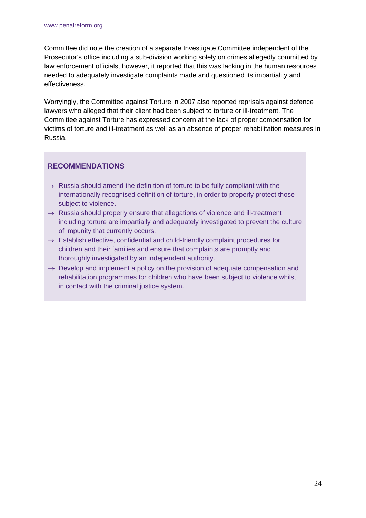Committee did note the creation of a separate Investigate Committee independent of the Prosecutor's office including a sub-division working solely on crimes allegedly committed by law enforcement officials, however, it reported that this was lacking in the human resources needed to adequately investigate complaints made and questioned its impartiality and effectiveness.

Worryingly, the Committee against Torture in 2007 also reported reprisals against defence lawyers who alleged that their client had been subject to torture or ill-treatment. The Committee against Torture has expressed concern at the lack of proper compensation for victims of torture and ill-treatment as well as an absence of proper rehabilitation measures in Russia.

## **RECOMMENDATIONS**

- $\rightarrow$  Russia should amend the definition of torture to be fully compliant with the internationally recognised definition of torture, in order to properly protect those subject to violence.
- $\rightarrow$  Russia should properly ensure that allegations of violence and ill-treatment including torture are impartially and adequately investigated to prevent the culture of impunity that currently occurs.
- $\rightarrow$  Establish effective, confidential and child-friendly complaint procedures for children and their families and ensure that complaints are promptly and thoroughly investigated by an independent authority.
- $\rightarrow$  Develop and implement a policy on the provision of adequate compensation and rehabilitation programmes for children who have been subject to violence whilst in contact with the criminal justice system.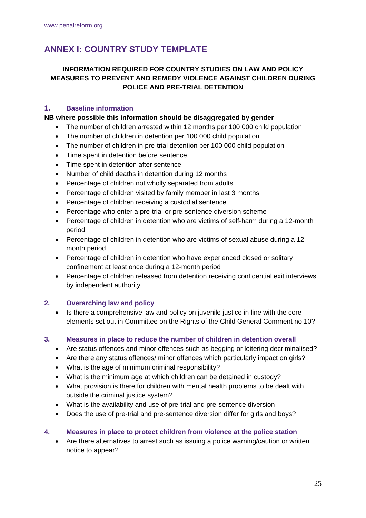# **ANNEX I: COUNTRY STUDY TEMPLATE**

### **INFORMATION REQUIRED FOR COUNTRY STUDIES ON LAW AND POLICY MEASURES TO PREVENT AND REMEDY VIOLENCE AGAINST CHILDREN DURING POLICE AND PRE-TRIAL DETENTION**

#### **1. Baseline information**

#### **NB where possible this information should be disaggregated by gender**

- The number of children arrested within 12 months per 100 000 child population
- The number of children in detention per 100 000 child population
- The number of children in pre-trial detention per 100 000 child population
- Time spent in detention before sentence
- Time spent in detention after sentence
- Number of child deaths in detention during 12 months
- Percentage of children not wholly separated from adults
- Percentage of children visited by family member in last 3 months
- Percentage of children receiving a custodial sentence
- Percentage who enter a pre-trial or pre-sentence diversion scheme
- Percentage of children in detention who are victims of self-harm during a 12-month period
- Percentage of children in detention who are victims of sexual abuse during a 12 month period
- Percentage of children in detention who have experienced closed or solitary confinement at least once during a 12-month period
- Percentage of children released from detention receiving confidential exit interviews by independent authority

### **2. Overarching law and policy**

 Is there a comprehensive law and policy on juvenile justice in line with the core elements set out in Committee on the Rights of the Child General Comment no 10?

#### **3. Measures in place to reduce the number of children in detention overall**

- Are status offences and minor offences such as begging or loitering decriminalised?
- Are there any status offences/ minor offences which particularly impact on girls?
- What is the age of minimum criminal responsibility?
- What is the minimum age at which children can be detained in custody?
- What provision is there for children with mental health problems to be dealt with outside the criminal justice system?
- What is the availability and use of pre-trial and pre-sentence diversion
- Does the use of pre-trial and pre-sentence diversion differ for girls and boys?

#### **4. Measures in place to protect children from violence at the police station**

 Are there alternatives to arrest such as issuing a police warning/caution or written notice to appear?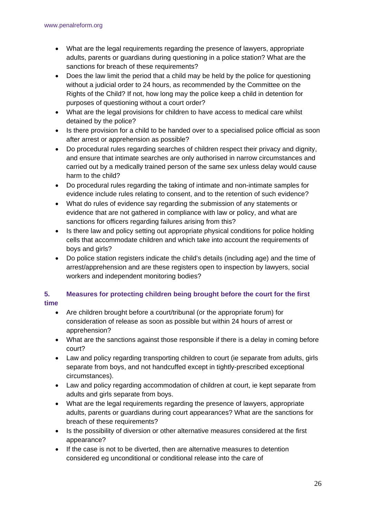- What are the legal requirements regarding the presence of lawyers, appropriate adults, parents or guardians during questioning in a police station? What are the sanctions for breach of these requirements?
- Does the law limit the period that a child may be held by the police for questioning without a judicial order to 24 hours, as recommended by the Committee on the Rights of the Child? If not, how long may the police keep a child in detention for purposes of questioning without a court order?
- What are the legal provisions for children to have access to medical care whilst detained by the police?
- Is there provision for a child to be handed over to a specialised police official as soon after arrest or apprehension as possible?
- Do procedural rules regarding searches of children respect their privacy and dignity, and ensure that intimate searches are only authorised in narrow circumstances and carried out by a medically trained person of the same sex unless delay would cause harm to the child?
- Do procedural rules regarding the taking of intimate and non-intimate samples for evidence include rules relating to consent, and to the retention of such evidence?
- What do rules of evidence say regarding the submission of any statements or evidence that are not gathered in compliance with law or policy, and what are sanctions for officers regarding failures arising from this?
- Is there law and policy setting out appropriate physical conditions for police holding cells that accommodate children and which take into account the requirements of boys and girls?
- Do police station registers indicate the child's details (including age) and the time of arrest/apprehension and are these registers open to inspection by lawyers, social workers and independent monitoring bodies?

## **5. Measures for protecting children being brought before the court for the first time**

- Are children brought before a court/tribunal (or the appropriate forum) for consideration of release as soon as possible but within 24 hours of arrest or apprehension?
- What are the sanctions against those responsible if there is a delay in coming before court?
- Law and policy regarding transporting children to court (ie separate from adults, girls separate from boys, and not handcuffed except in tightly-prescribed exceptional circumstances).
- Law and policy regarding accommodation of children at court, ie kept separate from adults and girls separate from boys.
- What are the legal requirements regarding the presence of lawyers, appropriate adults, parents or guardians during court appearances? What are the sanctions for breach of these requirements?
- Is the possibility of diversion or other alternative measures considered at the first appearance?
- If the case is not to be diverted, then are alternative measures to detention considered eg unconditional or conditional release into the care of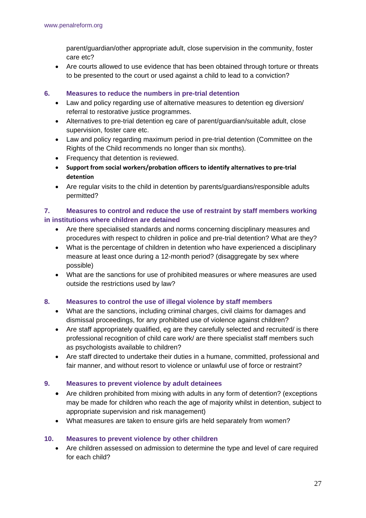parent/guardian/other appropriate adult, close supervision in the community, foster care etc?

 Are courts allowed to use evidence that has been obtained through torture or threats to be presented to the court or used against a child to lead to a conviction?

#### **6. Measures to reduce the numbers in pre-trial detention**

- Law and policy regarding use of alternative measures to detention eg diversion/ referral to restorative justice programmes.
- Alternatives to pre-trial detention eg care of parent/guardian/suitable adult, close supervision, foster care etc.
- Law and policy regarding maximum period in pre-trial detention (Committee on the Rights of the Child recommends no longer than six months).
- Frequency that detention is reviewed.
- **Support from social workers/probation officers to identify alternatives to pre‐trial detention**
- Are regular visits to the child in detention by parents/guardians/responsible adults permitted?

### **7. Measures to control and reduce the use of restraint by staff members working in institutions where children are detained**

- Are there specialised standards and norms concerning disciplinary measures and procedures with respect to children in police and pre-trial detention? What are they?
- What is the percentage of children in detention who have experienced a disciplinary measure at least once during a 12-month period? (disaggregate by sex where possible)
- What are the sanctions for use of prohibited measures or where measures are used outside the restrictions used by law?

### **8. Measures to control the use of illegal violence by staff members**

- What are the sanctions, including criminal charges, civil claims for damages and dismissal proceedings, for any prohibited use of violence against children?
- Are staff appropriately qualified, eg are they carefully selected and recruited/ is there professional recognition of child care work/ are there specialist staff members such as psychologists available to children?
- Are staff directed to undertake their duties in a humane, committed, professional and fair manner, and without resort to violence or unlawful use of force or restraint?

### **9. Measures to prevent violence by adult detainees**

- Are children prohibited from mixing with adults in any form of detention? (exceptions may be made for children who reach the age of majority whilst in detention, subject to appropriate supervision and risk management)
- What measures are taken to ensure girls are held separately from women?

#### **10. Measures to prevent violence by other children**

 Are children assessed on admission to determine the type and level of care required for each child?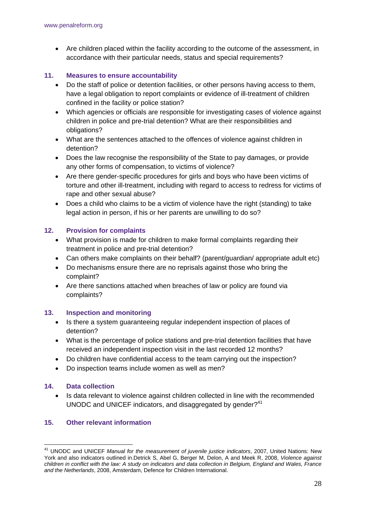Are children placed within the facility according to the outcome of the assessment, in accordance with their particular needs, status and special requirements?

#### **11. Measures to ensure accountability**

- Do the staff of police or detention facilities, or other persons having access to them, have a legal obligation to report complaints or evidence of ill-treatment of children confined in the facility or police station?
- Which agencies or officials are responsible for investigating cases of violence against children in police and pre-trial detention? What are their responsibilities and obligations?
- What are the sentences attached to the offences of violence against children in detention?
- Does the law recognise the responsibility of the State to pay damages, or provide any other forms of compensation, to victims of violence?
- Are there gender-specific procedures for girls and boys who have been victims of torture and other ill-treatment, including with regard to access to redress for victims of rape and other sexual abuse?
- Does a child who claims to be a victim of violence have the right (standing) to take legal action in person, if his or her parents are unwilling to do so?

#### **12. Provision for complaints**

- What provision is made for children to make formal complaints regarding their treatment in police and pre-trial detention?
- Can others make complaints on their behalf? (parent/guardian/ appropriate adult etc)
- Do mechanisms ensure there are no reprisals against those who bring the complaint?
- Are there sanctions attached when breaches of law or policy are found via complaints?

#### **13. Inspection and monitoring**

- Is there a system guaranteeing regular independent inspection of places of detention?
- What is the percentage of police stations and pre-trial detention facilities that have received an independent inspection visit in the last recorded 12 months?
- Do children have confidential access to the team carrying out the inspection?
- Do inspection teams include women as well as men?

#### **14. Data collection**

<u>.</u>

 Is data relevant to violence against children collected in line with the recommended UNODC and UNICEF indicators, and disaggregated by gender?<sup>41</sup>

#### **15. Other relevant information**

<sup>41</sup> UNODC and UNICEF *Manual for the measurement of juvenile justice indicators*, 2007, United Nations: New York and also indicators outlined in.Detrick S, Abel G, Berger M, Delon, A and Meek R, 2008, *Violence against children in conflict with the law: A study on indicators and data collection in Belgium, England and Wales, France and the Netherlands*, 2008, Amsterdam, Defence for Children International.